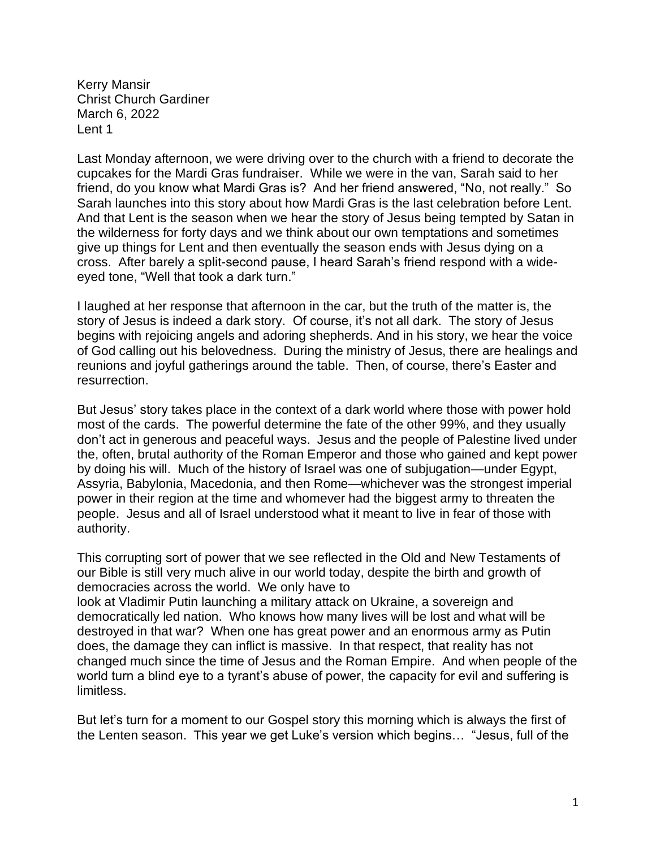Kerry Mansir Christ Church Gardiner March 6, 2022 Lent 1

Last Monday afternoon, we were driving over to the church with a friend to decorate the cupcakes for the Mardi Gras fundraiser. While we were in the van, Sarah said to her friend, do you know what Mardi Gras is? And her friend answered, "No, not really." So Sarah launches into this story about how Mardi Gras is the last celebration before Lent. And that Lent is the season when we hear the story of Jesus being tempted by Satan in the wilderness for forty days and we think about our own temptations and sometimes give up things for Lent and then eventually the season ends with Jesus dying on a cross. After barely a split-second pause, I heard Sarah's friend respond with a wideeyed tone, "Well that took a dark turn."

I laughed at her response that afternoon in the car, but the truth of the matter is, the story of Jesus is indeed a dark story. Of course, it's not all dark. The story of Jesus begins with rejoicing angels and adoring shepherds. And in his story, we hear the voice of God calling out his belovedness. During the ministry of Jesus, there are healings and reunions and joyful gatherings around the table. Then, of course, there's Easter and resurrection.

But Jesus' story takes place in the context of a dark world where those with power hold most of the cards. The powerful determine the fate of the other 99%, and they usually don't act in generous and peaceful ways. Jesus and the people of Palestine lived under the, often, brutal authority of the Roman Emperor and those who gained and kept power by doing his will. Much of the history of Israel was one of subjugation—under Egypt, Assyria, Babylonia, Macedonia, and then Rome—whichever was the strongest imperial power in their region at the time and whomever had the biggest army to threaten the people. Jesus and all of Israel understood what it meant to live in fear of those with authority.

This corrupting sort of power that we see reflected in the Old and New Testaments of our Bible is still very much alive in our world today, despite the birth and growth of democracies across the world. We only have to

look at Vladimir Putin launching a military attack on Ukraine, a sovereign and democratically led nation. Who knows how many lives will be lost and what will be destroyed in that war? When one has great power and an enormous army as Putin does, the damage they can inflict is massive. In that respect, that reality has not changed much since the time of Jesus and the Roman Empire. And when people of the world turn a blind eye to a tyrant's abuse of power, the capacity for evil and suffering is limitless.

But let's turn for a moment to our Gospel story this morning which is always the first of the Lenten season. This year we get Luke's version which begins… "Jesus, full of the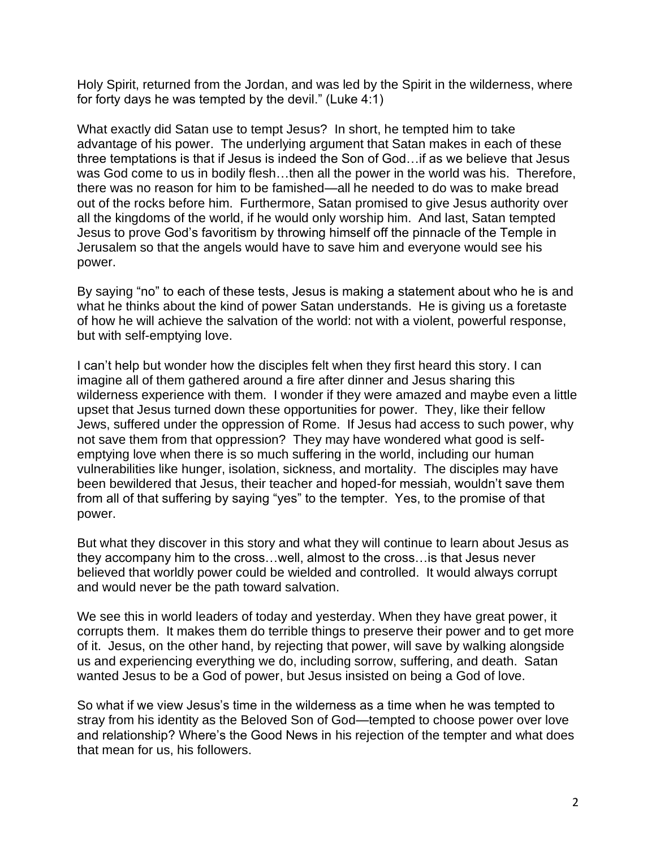Holy Spirit, returned from the Jordan, and was led by the Spirit in the wilderness, where for forty days he was tempted by the devil." (Luke 4:1)

What exactly did Satan use to tempt Jesus? In short, he tempted him to take advantage of his power. The underlying argument that Satan makes in each of these three temptations is that if Jesus is indeed the Son of God…if as we believe that Jesus was God come to us in bodily flesh…then all the power in the world was his. Therefore, there was no reason for him to be famished—all he needed to do was to make bread out of the rocks before him. Furthermore, Satan promised to give Jesus authority over all the kingdoms of the world, if he would only worship him. And last, Satan tempted Jesus to prove God's favoritism by throwing himself off the pinnacle of the Temple in Jerusalem so that the angels would have to save him and everyone would see his power.

By saying "no" to each of these tests, Jesus is making a statement about who he is and what he thinks about the kind of power Satan understands. He is giving us a foretaste of how he will achieve the salvation of the world: not with a violent, powerful response, but with self-emptying love.

I can't help but wonder how the disciples felt when they first heard this story. I can imagine all of them gathered around a fire after dinner and Jesus sharing this wilderness experience with them. I wonder if they were amazed and maybe even a little upset that Jesus turned down these opportunities for power. They, like their fellow Jews, suffered under the oppression of Rome. If Jesus had access to such power, why not save them from that oppression? They may have wondered what good is selfemptying love when there is so much suffering in the world, including our human vulnerabilities like hunger, isolation, sickness, and mortality. The disciples may have been bewildered that Jesus, their teacher and hoped-for messiah, wouldn't save them from all of that suffering by saying "yes" to the tempter. Yes, to the promise of that power.

But what they discover in this story and what they will continue to learn about Jesus as they accompany him to the cross…well, almost to the cross…is that Jesus never believed that worldly power could be wielded and controlled. It would always corrupt and would never be the path toward salvation.

We see this in world leaders of today and yesterday. When they have great power, it corrupts them. It makes them do terrible things to preserve their power and to get more of it. Jesus, on the other hand, by rejecting that power, will save by walking alongside us and experiencing everything we do, including sorrow, suffering, and death. Satan wanted Jesus to be a God of power, but Jesus insisted on being a God of love.

So what if we view Jesus's time in the wilderness as a time when he was tempted to stray from his identity as the Beloved Son of God—tempted to choose power over love and relationship? Where's the Good News in his rejection of the tempter and what does that mean for us, his followers.